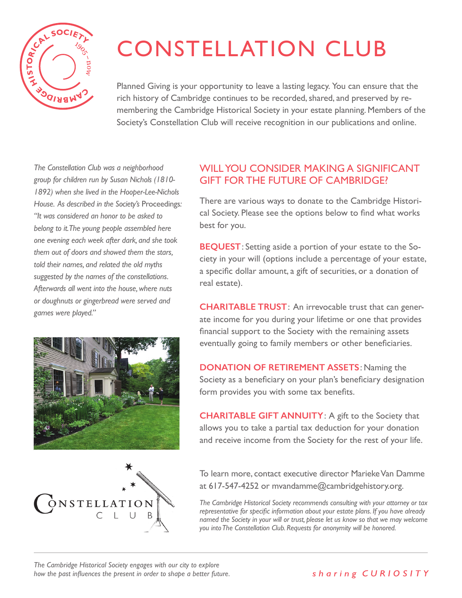

#### CONSTELLATION CLUB *issues through conversation and perspective-taking is one we are proud of. unlike that of any other city. A community this vibrant and original must preserve From the American Revolution to the biotech revolution, the history of Cambridge is unlike that of any other city. A community this vibrant and original must preserve*

Planned Giving is your opportunity to leave a lasting legacy. You can ensure that the rich history of Cambridge continues to be recorded, shared, and preserved by remembering the Cambridge Historical Society in your estate planning. Members of the Society's Constellation Club will receive recognition in our publications and online. *Join us in making better citizens and a better city. Join us in making better citizens and a better city.*

*belong to it. The young people assembled here* one evening each week after dark, and she took told their names, and related the old myths suggested by the names of the constellations. *Built in 1685, it is the second-oldest house Afterwards all went into the house, where nuts*  or doughnuts or gingerbread were served and **CHARITA** *The Constellation Club was a neighborhood group for children run by Susan Nichols (1810- 1892) when she lived in the Hooper-Lee-Nichols House. As described in the Society's* Proceedings*: "It was considered an honor to be asked to The Society was founded in 1905 and The Society was founded in 1905 and*  them out of doors and showed them the stars, *games were played."*  $\alpha$  to increase with a higher with a higher value of  $\alpha$ *in Cambridge and one of the oldest houses*  citizens of Cambridge with a historical lens, and aim to increase empathy and aim to increase empathy and an i *Built in 1685, it is the second-oldest house in Cambridge and one of the oldest houses* 



*in New England. Please come visit!*



## **PARTICIPATE IN** one of our signature programs, which will challenge GIFT FOR THE FUTURE OF CAMBRIDGE? **PARTICIPATE IN** one of our signature programs, which will challenge **PARTICIPATE IN** one of our signature programs, which will challenge **Exercise 1**<br>Borhood **WILL YOU CONSIDER MAKING A SIGNIFICANT**

There are various ways to donate to the Cambridge Histori-Instead to cal Society. Please see the options below to find what works  $\mathcal{H}$  you, and  $\mathcal{H}$  are all open Archives are all opportunities to  $\mathcal{H}$ he conversation. The conversation of conversation of conversation. The conversation of concern to the conversation of concern to the concern to the conversation. The concern to the concern to the concern to the concern to you to think about Care about Care different lines. History Care about Care and tours, walking to the tours, wa<br>Think about Care about Care about Care about Care about to the tours, was about Care about the tours, was abou eedings: There are various ways to donate to the Cambridge Historiyou to think about Care about Care about Care about Care about Care about Care about tours, walking to the set Proceedings: There are various ways to donate to the Cambridge History

and she took<br>by the stage **BEQUEST**: Setting aside a portion of your estate to the Society in your will (options include a percentage of your estate, a specific dollar amount, a gift of securities, or a donation of<br>tellations. real estate).  $\frac{1}{\sqrt{2}}$  $u_n$  and  $u_n$  threads of  $\alpha$ .  $\alpha$  is tellations. The use of  $\alpha$  is to enable our neighbors to  $\alpha$ where nuts  $\int$  can estate).

**CHARITABLE TRUST**: An irrevocable trust that can generate income for you during your lifetime or one that provides financial support to the Society with the remaining assets eventually going to family members or other beneficiaries.<br>Revolution of the Cultural Revolution of the 20th Cultural Revolution of the 20th Cultural Revolution of the 20

Society as a beneficiary on your plan's beneficiary designation form provides you with some tax benefits. **With our ponation of RETIREMENT ASSETS:** Naming the

> **CHARITABLE GIFT ANNUITY**: A gift to the Society that allows you to take a partial tax deduction for your donation and receive income from the Society for the rest of your life.

*Join the discussion!* To learn more, contact executive director Marieke Van Damme at 617-547-4252 or mvandamme@cambridgehistory.org.

*The Cambridge Historical Society recommends consulting with your attorney or tax*  $\frac{1}{2}$ named the Society in your will or trust, please let us know so that we may welcome Cambridgehistory.org representative for specific information about your estate plans. If you have already *you into The Constellation Club. Requests for anonymity will be honored. The Society is a proud recipient of The Society is a proud recipient of* 

*for our 2016 "Housing for All?"* 

*for our 2016 "Housing for All?"* 

617-547-4252